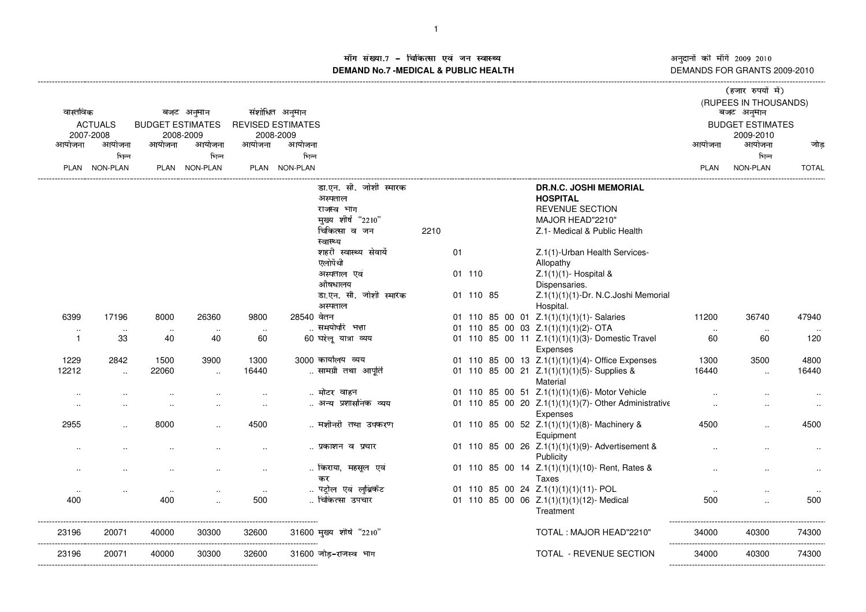अनुदानों की माँगें 2009–2010<br>DEMANDS FOR GRANTS 2009-2010 -------------------

## ाँग संख्या.7 – चिकित्सा एवं जन स्वास्थ्य स्थान कर संस्था पर संस्था आर्यो अ **DEMAND No.7 -MEDICAL & PUBLIC HEALTH**----------------------------------------------------------------------------------------------------------------------------------------------------------------------------------------------------------------------------------------------------------------------------

| वास्तविक<br><b>ACTUALS</b> |                                 | बजट अनुमान<br><b>BUDGET ESTIMATES</b> |                 | संशोधित अनुमान<br><b>REVISED ESTIMATES</b> |                 |                                     |      |    |           |  |                                                              | (हजार रुपयों में)<br>(RUPEES IN THOUSANDS)<br>बजट अनुमान<br><b>BUDGET ESTIMATES</b> |                 |              |  |
|----------------------------|---------------------------------|---------------------------------------|-----------------|--------------------------------------------|-----------------|-------------------------------------|------|----|-----------|--|--------------------------------------------------------------|-------------------------------------------------------------------------------------|-----------------|--------------|--|
|                            | 2007-2008                       |                                       | 2008-2009       |                                            | 2008-2009       |                                     |      |    |           |  |                                                              |                                                                                     | 2009-2010       |              |  |
| आयोजना                     | आयोजना<br>भिन्न                 | आयोजना                                | आयोजना<br>भिन्न | आयोजना                                     | आयोजना<br>भिन्न |                                     |      |    |           |  |                                                              | आयोजना                                                                              | आयोजना<br>भिन्न | जोड          |  |
|                            | PLAN NON-PLAN                   |                                       | PLAN NON-PLAN   |                                            | PLAN NON-PLAN   |                                     |      |    |           |  |                                                              | PLAN                                                                                | <b>NON-PLAN</b> | <b>TOTAL</b> |  |
|                            |                                 |                                       |                 |                                            |                 |                                     |      |    |           |  |                                                              |                                                                                     |                 |              |  |
|                            |                                 |                                       |                 |                                            |                 | डा.एन. सी. जोशी स्मारक              |      |    |           |  | <b>DR.N.C. JOSHI MEMORIAL</b>                                |                                                                                     |                 |              |  |
|                            |                                 |                                       |                 |                                            |                 | अस्पताल                             |      |    |           |  | <b>HOSPITAL</b>                                              |                                                                                     |                 |              |  |
|                            |                                 |                                       |                 |                                            |                 | राजस्व भाग                          |      |    |           |  | <b>REVENUE SECTION</b>                                       |                                                                                     |                 |              |  |
|                            |                                 |                                       |                 |                                            |                 | मुख्य शीर्ष "2210"<br>चिकित्सा व जन | 2210 |    |           |  | MAJOR HEAD"2210"<br>Z.1- Medical & Public Health             |                                                                                     |                 |              |  |
|                            |                                 |                                       |                 |                                            |                 | स्वास्थ्य                           |      |    |           |  |                                                              |                                                                                     |                 |              |  |
|                            |                                 |                                       |                 |                                            |                 | शहरी स्वास्थ्य सेवायें              |      | 01 |           |  | Z.1(1)-Urban Health Services-                                |                                                                                     |                 |              |  |
|                            |                                 |                                       |                 |                                            |                 | एलोपैथी                             |      |    |           |  | Allopathy                                                    |                                                                                     |                 |              |  |
|                            |                                 |                                       |                 |                                            |                 | अस्पताल एवं                         |      |    | 01 110    |  | $Z.1(1)(1)$ - Hospital &                                     |                                                                                     |                 |              |  |
|                            |                                 |                                       |                 |                                            |                 | औषधालय                              |      |    |           |  | Dispensaries.                                                |                                                                                     |                 |              |  |
|                            |                                 |                                       |                 |                                            |                 | डा.एन. सी. जोशी स्मारक              |      |    | 01 110 85 |  | Z.1(1)(1)(1)-Dr. N.C.Joshi Memorial                          |                                                                                     |                 |              |  |
|                            |                                 |                                       |                 |                                            |                 | अस्पताल                             |      |    |           |  | Hospital.                                                    |                                                                                     |                 |              |  |
| 6399                       | 17196                           | 8000                                  | 26360           | 9800                                       | 28540 वेतन      |                                     |      |    |           |  | 01 110 85 00 01 Z.1(1)(1)(1)(1)-Salaries                     | 11200                                                                               | 36740           | 47940        |  |
| $\sim$                     | $\ldots$                        | $\sim$                                | $\sim$          | $\sim$                                     |                 | समयोपरि भत्ता                       |      |    |           |  | 01 110 85 00 03 Z.1(1)(1)(1)(2)-OTA                          | $\sim$                                                                              | $\ldots$        |              |  |
| $\mathbf{1}$               | 33                              | 40                                    | 40              | 60                                         |                 | 60 घरेलू यात्रा व्यय                |      |    |           |  | 01 110 85 00 11 Z.1(1)(1)(1)(3)- Domestic Travel<br>Expenses | 60                                                                                  | 60              | 120          |  |
| 1229                       | 2842                            | 1500                                  | 3900            | 1300                                       |                 | 3000 कार्यालय व्यय                  |      |    |           |  | 01 110 85 00 13 Z.1(1)(1)(1)(4)-Office Expenses              | 1300                                                                                | 3500            | 4800         |  |
| 12212                      | $\ddotsc$                       | 22060                                 | $\ddotsc$       | 16440                                      |                 | सामग्री तथा आपति                    |      |    |           |  | 01 110 85 00 21 Z.1(1)(1)(1)(5)-Supplies &                   | 16440                                                                               | $\ddotsc$       | 16440        |  |
|                            |                                 |                                       |                 |                                            |                 |                                     |      |    |           |  | Material                                                     |                                                                                     |                 |              |  |
| $\ddotsc$                  |                                 |                                       |                 |                                            |                 | मोटर वाहन                           |      |    |           |  | 01 110 85 00 51 Z.1(1)(1)(1)(6)-Motor Vehicle                |                                                                                     |                 |              |  |
| $\ddotsc$                  |                                 | $\sim$                                |                 | $\ddotsc$                                  |                 | अन्य प्रशासनिक व्यय                 |      |    |           |  | 01 110 85 00 20 Z.1(1)(1)(1)(7)- Other Administrative        |                                                                                     |                 | $\ddotsc$    |  |
|                            |                                 |                                       |                 |                                            |                 |                                     |      |    |           |  | Expenses                                                     |                                                                                     |                 |              |  |
| 2955                       |                                 | 8000                                  |                 | 4500                                       |                 | मशीनरी तथा उपकरण                    |      |    |           |  | 01 110 85 00 52 Z.1(1)(1)(1)(8)- Machinery &                 | 4500                                                                                |                 | 4500         |  |
|                            |                                 |                                       |                 |                                            |                 |                                     |      |    |           |  | Equipment                                                    |                                                                                     |                 |              |  |
|                            |                                 |                                       |                 |                                            |                 | प्रकाशन व प्रचार                    |      |    |           |  | 01 110 85 00 26 Z.1(1)(1)(1)(9)- Advertisement &             |                                                                                     |                 |              |  |
|                            |                                 |                                       |                 |                                            |                 | किराया, महसूल एवं                   |      |    |           |  | Publicity<br>01 110 85 00 14 Z.1(1)(1)(1)(10)- Rent, Rates & |                                                                                     |                 |              |  |
|                            |                                 |                                       |                 |                                            |                 | कर                                  |      |    |           |  | <b>Taxes</b>                                                 |                                                                                     |                 |              |  |
| $\sim$                     |                                 | $\cdot$ .                             |                 | $\sim$                                     |                 | पट्रोल एवं लुब्रिकेंट               |      |    |           |  | 01 110 85 00 24 Z.1(1)(1)(1)(11)- POL                        |                                                                                     |                 |              |  |
| 400                        |                                 | 400                                   |                 | 500                                        |                 | चिकित्सा उपचार                      |      |    |           |  | 01 110 85 00 06 Z.1(1)(1)(1)(12)- Medical                    | 500                                                                                 |                 | 500          |  |
|                            |                                 |                                       |                 |                                            |                 |                                     |      |    |           |  | Treatment                                                    |                                                                                     |                 |              |  |
|                            |                                 |                                       |                 |                                            |                 |                                     |      |    |           |  |                                                              |                                                                                     |                 |              |  |
| 23196                      | 20071                           | 40000                                 | 30300           | 32600                                      |                 | 31600 मुख्य शीर्ष "2210"            |      |    |           |  | TOTAL: MAJOR HEAD"2210"                                      | 34000                                                                               | 40300           | 74300        |  |
|                            | ------------------------------- | -------------                         |                 |                                            |                 |                                     |      |    |           |  |                                                              |                                                                                     |                 | .            |  |
| 23196                      | 20071                           | 40000                                 | 30300           | 32600                                      |                 | 31600 जोड-राजस्व भाग                |      |    |           |  | TOTAL - REVENUE SECTION                                      | 34000                                                                               | 40300           | 74300        |  |
|                            |                                 |                                       |                 |                                            |                 |                                     |      |    |           |  |                                                              |                                                                                     |                 |              |  |